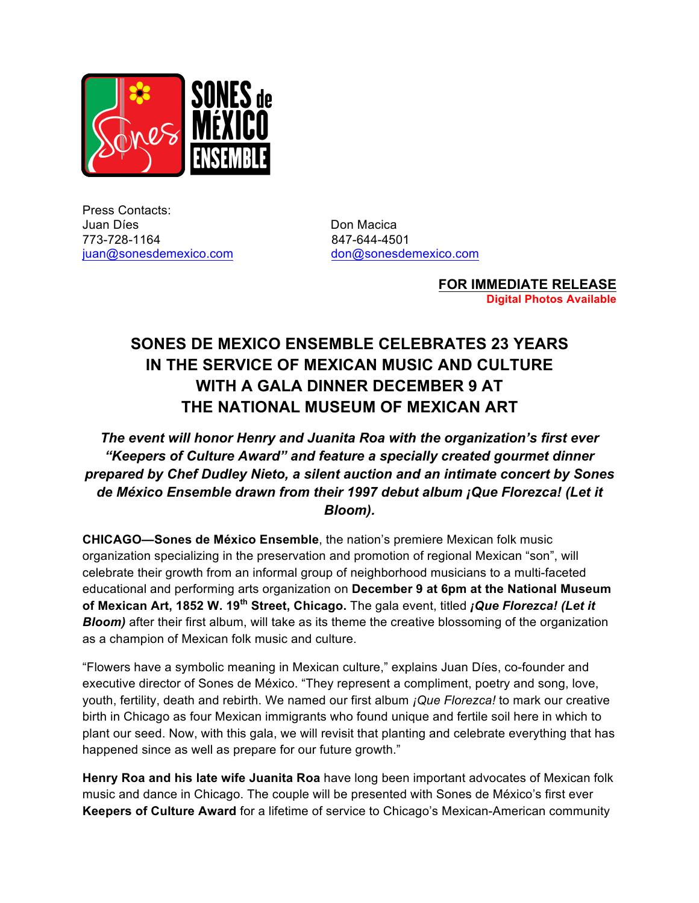

Press Contacts: Juan Díes **Don Macica** 773-728-1164 847-644-4501 juan@sonesdemexico.com don@sonesdemexico.com

**FOR IMMEDIATE RELEASE Digital Photos Available**

## **SONES DE MEXICO ENSEMBLE CELEBRATES 23 YEARS IN THE SERVICE OF MEXICAN MUSIC AND CULTURE WITH A GALA DINNER DECEMBER 9 AT THE NATIONAL MUSEUM OF MEXICAN ART**

## *The event will honor Henry and Juanita Roa with the organization's first ever "Keepers of Culture Award" and feature a specially created gourmet dinner prepared by Chef Dudley Nieto, a silent auction and an intimate concert by Sones de México Ensemble drawn from their 1997 debut album ¡Que Florezca! (Let it Bloom).*

**CHICAGO—Sones de México Ensemble**, the nation's premiere Mexican folk music organization specializing in the preservation and promotion of regional Mexican "son", will celebrate their growth from an informal group of neighborhood musicians to a multi-faceted educational and performing arts organization on **December 9 at 6pm at the National Museum of Mexican Art, 1852 W. 19th Street, Chicago.** The gala event, titled *¡Que Florezca! (Let it Bloom)* after their first album, will take as its theme the creative blossoming of the organization as a champion of Mexican folk music and culture.

"Flowers have a symbolic meaning in Mexican culture," explains Juan Díes, co-founder and executive director of Sones de México. "They represent a compliment, poetry and song, love, youth, fertility, death and rebirth. We named our first album *¡Que Florezca!* to mark our creative birth in Chicago as four Mexican immigrants who found unique and fertile soil here in which to plant our seed. Now, with this gala, we will revisit that planting and celebrate everything that has happened since as well as prepare for our future growth."

**Henry Roa and his late wife Juanita Roa** have long been important advocates of Mexican folk music and dance in Chicago. The couple will be presented with Sones de México's first ever **Keepers of Culture Award** for a lifetime of service to Chicago's Mexican-American community